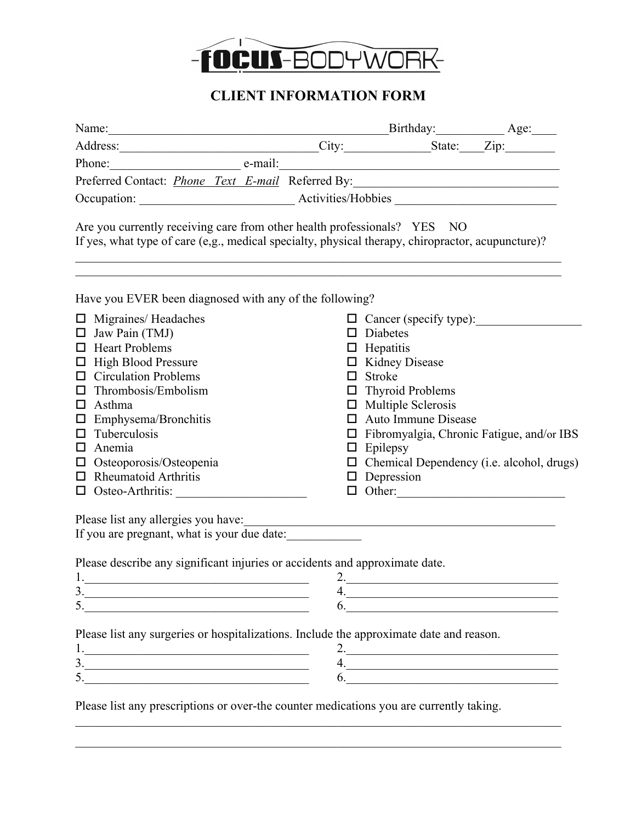

## **CLIENT INFORMATION FORM**

| Name: Birthday: Birthday: Age: Address: City: State: Zip:                                                                                                                                                                                                                                                                                                                                                                                                                     |                                        |                            |                                                               |
|-------------------------------------------------------------------------------------------------------------------------------------------------------------------------------------------------------------------------------------------------------------------------------------------------------------------------------------------------------------------------------------------------------------------------------------------------------------------------------|----------------------------------------|----------------------------|---------------------------------------------------------------|
| Phone: e-mail: e-mail:                                                                                                                                                                                                                                                                                                                                                                                                                                                        |                                        |                            |                                                               |
| Preferred Contact: <i>Phone Text E-mail</i> Referred By:                                                                                                                                                                                                                                                                                                                                                                                                                      |                                        |                            |                                                               |
|                                                                                                                                                                                                                                                                                                                                                                                                                                                                               |                                        |                            |                                                               |
| Are you currently receiving care from other health professionals? YES NO<br>If yes, what type of care (e,g., medical specialty, physical therapy, chiropractor, acupuncture)?                                                                                                                                                                                                                                                                                                 |                                        |                            |                                                               |
| Have you EVER been diagnosed with any of the following?                                                                                                                                                                                                                                                                                                                                                                                                                       |                                        |                            |                                                               |
| $\Box$ Migraines/Headaches<br>$\Box$ Jaw Pain (TMJ)                                                                                                                                                                                                                                                                                                                                                                                                                           | $\Box$ Diabetes                        | □ Cancer (specify type):   |                                                               |
| $\Box$ Heart Problems                                                                                                                                                                                                                                                                                                                                                                                                                                                         | $\Box$ Hepatitis                       |                            |                                                               |
| <b>High Blood Pressure</b><br>◻<br><b>Circulation Problems</b><br>$\Box$                                                                                                                                                                                                                                                                                                                                                                                                      | $\Box$ Kidney Disease<br>$\Box$ Stroke |                            |                                                               |
| Thrombosis/Embolism<br>□                                                                                                                                                                                                                                                                                                                                                                                                                                                      | $\Box$ Thyroid Problems                |                            |                                                               |
| Asthma<br>□                                                                                                                                                                                                                                                                                                                                                                                                                                                                   | $\Box$ Multiple Sclerosis              |                            |                                                               |
| Emphysema/Bronchitis<br>◻                                                                                                                                                                                                                                                                                                                                                                                                                                                     |                                        | $\Box$ Auto Immune Disease |                                                               |
| Tuberculosis<br>□                                                                                                                                                                                                                                                                                                                                                                                                                                                             |                                        |                            | $\Box$ Fibromyalgia, Chronic Fatigue, and/or IBS              |
| Anemia<br>□                                                                                                                                                                                                                                                                                                                                                                                                                                                                   | $\Box$ Epilepsy                        |                            |                                                               |
| Osteoporosis/Osteopenia<br>$\Box$                                                                                                                                                                                                                                                                                                                                                                                                                                             |                                        |                            | $\Box$ Chemical Dependency (i.e. alcohol, drugs)              |
| <b>Rheumatoid Arthritis</b><br>□                                                                                                                                                                                                                                                                                                                                                                                                                                              | $\Box$ Depression                      |                            |                                                               |
| Osteo-Arthritis:<br>$\Box$                                                                                                                                                                                                                                                                                                                                                                                                                                                    |                                        |                            | $\Box$ Other:                                                 |
|                                                                                                                                                                                                                                                                                                                                                                                                                                                                               |                                        |                            |                                                               |
| If you are pregnant, what is your due date:                                                                                                                                                                                                                                                                                                                                                                                                                                   |                                        |                            |                                                               |
| Please describe any significant injuries or accidents and approximate date.                                                                                                                                                                                                                                                                                                                                                                                                   |                                        |                            |                                                               |
| 1.                                                                                                                                                                                                                                                                                                                                                                                                                                                                            |                                        | 2.                         |                                                               |
| 3.                                                                                                                                                                                                                                                                                                                                                                                                                                                                            |                                        |                            | <u> 1989 - Johann Barn, mars an t-Amerikaansk politiker (</u> |
| 5.                                                                                                                                                                                                                                                                                                                                                                                                                                                                            |                                        |                            | $\overline{6}$ .                                              |
| Please list any surgeries or hospitalizations. Include the approximate date and reason.                                                                                                                                                                                                                                                                                                                                                                                       |                                        |                            |                                                               |
|                                                                                                                                                                                                                                                                                                                                                                                                                                                                               |                                        |                            | 2.                                                            |
| $\begin{array}{c c c c c} \hline \rule{0pt}{8ex} \multicolumn{3}{c} \multicolumn{3}{c} \multicolumn{3}{c} \multicolumn{3}{c} \multicolumn{3}{c} \multicolumn{3}{c} \multicolumn{3}{c} \multicolumn{3}{c} \multicolumn{3}{c} \multicolumn{3}{c} \multicolumn{3}{c} \multicolumn{3}{c} \multicolumn{3}{c} \multicolumn{3}{c} \multicolumn{3}{c} \multicolumn{3}{c} \multicolumn{3}{c} \multicolumn{3}{c} \multicolumn{3}{c} \multicolumn{3}{c} \multicolumn{3}{c} \multicolumn$ |                                        |                            | 4.                                                            |
|                                                                                                                                                                                                                                                                                                                                                                                                                                                                               |                                        |                            | 6.                                                            |
| Please list any prescriptions or over-the counter medications you are currently taking.                                                                                                                                                                                                                                                                                                                                                                                       |                                        |                            |                                                               |

 $\mathcal{L}_\mathcal{L} = \{ \mathcal{L}_\mathcal{L} = \{ \mathcal{L}_\mathcal{L} = \{ \mathcal{L}_\mathcal{L} = \{ \mathcal{L}_\mathcal{L} = \{ \mathcal{L}_\mathcal{L} = \{ \mathcal{L}_\mathcal{L} = \{ \mathcal{L}_\mathcal{L} = \{ \mathcal{L}_\mathcal{L} = \{ \mathcal{L}_\mathcal{L} = \{ \mathcal{L}_\mathcal{L} = \{ \mathcal{L}_\mathcal{L} = \{ \mathcal{L}_\mathcal{L} = \{ \mathcal{L}_\mathcal{L} = \{ \mathcal{L}_\mathcal{$  $\mathcal{L}_\mathcal{L} = \{ \mathcal{L}_\mathcal{L} = \{ \mathcal{L}_\mathcal{L} = \{ \mathcal{L}_\mathcal{L} = \{ \mathcal{L}_\mathcal{L} = \{ \mathcal{L}_\mathcal{L} = \{ \mathcal{L}_\mathcal{L} = \{ \mathcal{L}_\mathcal{L} = \{ \mathcal{L}_\mathcal{L} = \{ \mathcal{L}_\mathcal{L} = \{ \mathcal{L}_\mathcal{L} = \{ \mathcal{L}_\mathcal{L} = \{ \mathcal{L}_\mathcal{L} = \{ \mathcal{L}_\mathcal{L} = \{ \mathcal{L}_\mathcal{$